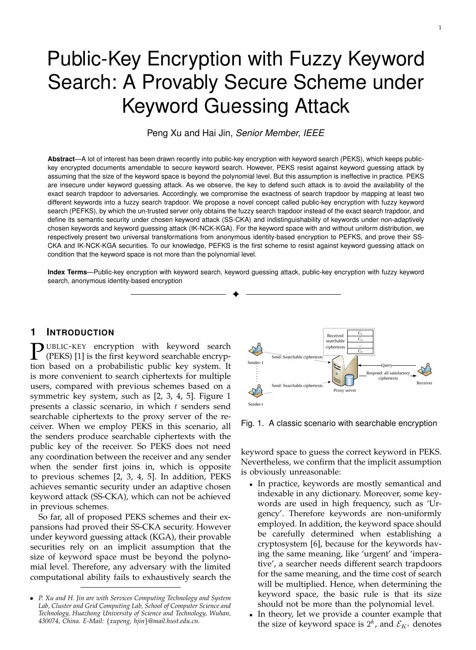# Public-Key Encryption with Fuzzy Keyword Search: A Provably Secure Scheme under Keyword Guessing Attack

Peng Xu and Hai Jin, *Senior Member, IEEE*

**Abstract**—A lot of interest has been drawn recently into public-key encryption with keyword search (PEKS), which keeps publickey encrypted documents amendable to secure keyword search. However, PEKS resist against keyword guessing attack by assuming that the size of the keyword space is beyond the polynomial level. But this assumption is ineffective in practice. PEKS are insecure under keyword guessing attack. As we observe, the key to defend such attack is to avoid the availability of the exact search trapdoor to adversaries. Accordingly, we compromise the exactness of search trapdoor by mapping at least two different keywords into a fuzzy search trapdoor. We propose a novel concept called public-key encryption with fuzzy keyword search (PEFKS), by which the un-trusted server only obtains the fuzzy search trapdoor instead of the exact search trapdoor, and define its semantic security under chosen keyword attack (SS-CKA) and indistinguishability of keywords under non-adaptively chosen keywords and keyword guessing attack (IK-NCK-KGA). For the keyword space with and without uniform distribution, we respectively present two universal transformations from anonymous identity-based encryption to PEFKS, and prove their SS-CKA and IK-NCK-KGA securities. To our knowledge, PEFKS is the first scheme to resist against keyword guessing attack on condition that the keyword space is not more than the polynomial level.

**Index Terms**—Public-key encryption with keyword search, keyword guessing attack, public-key encryption with fuzzy keyword search, anonymous identity-based encryption ✦

# **1 INTRODUCTION**

 $\sum$  UBLIC-KEY encryption with keyword search (PEKS) [1] is the first keyword searchable encryption based on a probabilistic public key system. It (PEKS) [1] is the first keyword searchable encryption based on a probabilistic public key system. It is more convenient to search ciphertexts for multiple users, compared with previous schemes based on a symmetric key system, such as [2, 3, 4, 5]. Figure 1 presents a classic scenario, in which  $t$  senders send searchable ciphertexts to the proxy server of the receiver. When we employ PEKS in this scenario, all the senders produce searchable ciphertexts with the public key of the receiver. So PEKS does not need any coordination between the receiver and any sender when the sender first joins in, which is opposite to previous schemes [2, 3, 4, 5]. In addition, PEKS achieves semantic security under an adaptive chosen keyword attack (SS-CKA), which can not be achieved in previous schemes.

So far, all of proposed PEKS schemes and their expansions had proved their SS-CKA security. However under keyword guessing attack (KGA), their provable securities rely on an implicit assumption that the size of keyword space must be beyond the polynomial level. Therefore, any adversary with the limited computational ability fails to exhaustively search the



Fig. 1. A classic scenario with searchable encryption

keyword space to guess the correct keyword in PEKS. Nevertheless, we confirm that the implicit assumption is obviously unreasonable:

- In practice, keywords are mostly semantical and indexable in any dictionary. Moreover, some keywords are used in high frequency, such as 'Urgency'. Therefore keywords are non-uniformly employed. In addition, the keyword space should be carefully determined when establishing a cryptosystem [6], because for the keywords having the same meaning, like 'urgent' and 'imperative', a searcher needs different search trapdoors for the same meaning, and the time cost of search will be multiplied. Hence, when determining the keyword space, the basic rule is that its size should not be more than the polynomial level.
- In theory, let we provide a counter example that the size of keyword space is  $2^k$ , and  $\mathcal{E}_{K^i}$  denotes

<sup>•</sup> *P. Xu and H. Jin are with Services Computing Technology and System Lab, Cluster and Grid Computing Lab, School of Computer Science and Technology, Huazhong University of Science and Technology, Wuhan, 430074, China. E-Mail:* {*xupeng, hjin*}*@mail.hust.edu.cn.*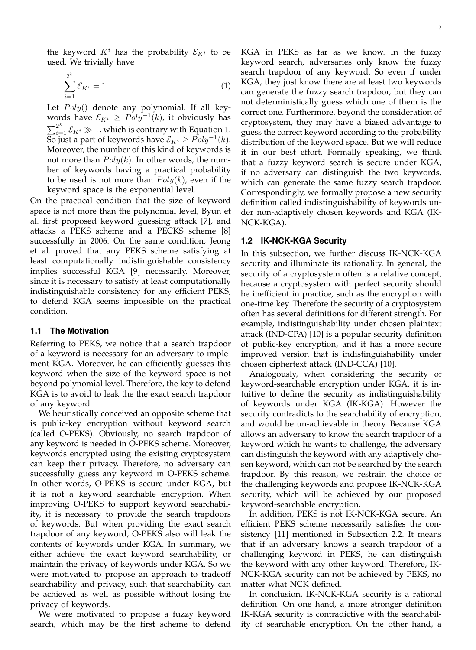the keyword  $K^i$  has the probability  $\mathcal{E}_{K^i}$  to be used. We trivially have

$$
\sum_{i=1}^{2^k} \mathcal{E}_{K^i} = 1 \tag{1}
$$

Let  $Poly()$  denote any polynomial. If all keywords have  $\mathcal{E}_{K^i} \geq \text{Poly}^{-1}(k)$ , it obviously has  $\sum_{i=1}^{2^k} \mathcal{E}_{K^i} \gg 1$ , which is contrary with Equation 1.  $\overline{\text{So}}$  just a part of keywords have  $\mathcal{E}_{K^i} \geq \tilde{Poly}^{-1}(k).$ Moreover, the number of this kind of keywords is not more than  $Poly(k)$ . In other words, the number of keywords having a practical probability to be used is not more than  $Poly(k)$ , even if the keyword space is the exponential level.

On the practical condition that the size of keyword space is not more than the polynomial level, Byun et al. first proposed keyword guessing attack [7], and attacks a PEKS scheme and a PECKS scheme [8] successfully in 2006. On the same condition, Jeong et al. proved that any PEKS scheme satisfying at least computationally indistinguishable consistency implies successful KGA [9] necessarily. Moreover, since it is necessary to satisfy at least computationally indistinguishable consistency for any efficient PEKS, to defend KGA seems impossible on the practical condition.

#### **1.1 The Motivation**

Referring to PEKS, we notice that a search trapdoor of a keyword is necessary for an adversary to implement KGA. Moreover, he can efficiently guesses this keyword when the size of the keyword space is not beyond polynomial level. Therefore, the key to defend KGA is to avoid to leak the the exact search trapdoor of any keyword.

We heuristically conceived an opposite scheme that is public-key encryption without keyword search (called O-PEKS). Obviously, no search trapdoor of any keyword is needed in O-PEKS scheme. Moreover, keywords encrypted using the existing cryptosystem can keep their privacy. Therefore, no adversary can successfully guess any keyword in O-PEKS scheme. In other words, O-PEKS is secure under KGA, but it is not a keyword searchable encryption. When improving O-PEKS to support keyword searchability, it is necessary to provide the search trapdoors of keywords. But when providing the exact search trapdoor of any keyword, O-PEKS also will leak the contents of keywords under KGA. In summary, we either achieve the exact keyword searchability, or maintain the privacy of keywords under KGA. So we were motivated to propose an approach to tradeoff searchability and privacy, such that searchability can be achieved as well as possible without losing the privacy of keywords.

We were motivated to propose a fuzzy keyword search, which may be the first scheme to defend

KGA in PEKS as far as we know. In the fuzzy keyword search, adversaries only know the fuzzy search trapdoor of any keyword. So even if under KGA, they just know there are at least two keywords can generate the fuzzy search trapdoor, but they can not deterministically guess which one of them is the correct one. Furthermore, beyond the consideration of cryptosystem, they may have a biased advantage to guess the correct keyword according to the probability distribution of the keyword space. But we will reduce it in our best effort. Formally speaking, we think that a fuzzy keyword search is secure under KGA, if no adversary can distinguish the two keywords, which can generate the same fuzzy search trapdoor. Correspondingly, we formally propose a new security definition called indistinguishability of keywords under non-adaptively chosen keywords and KGA (IK-

#### **1.2 IK-NCK-KGA Security**

NCK-KGA).

In this subsection, we further discuss IK-NCK-KGA security and illuminate its rationality. In general, the security of a cryptosystem often is a relative concept, because a cryptosystem with perfect security should be inefficient in practice, such as the encryption with one-time key. Therefore the security of a cryptosystem often has several definitions for different strength. For example, indistinguishability under chosen plaintext attack (IND-CPA) [10] is a popular security definition of public-key encryption, and it has a more secure improved version that is indistinguishability under chosen ciphertext attack (IND-CCA) [10].

Analogously, when considering the security of keyword-searchable encryption under KGA, it is intuitive to define the security as indistinguishability of keywords under KGA (IK-KGA). However the security contradicts to the searchability of encryption, and would be un-achievable in theory. Because KGA allows an adversary to know the search trapdoor of a keyword which he wants to challenge, the adversary can distinguish the keyword with any adaptively chosen keyword, which can not be searched by the search trapdoor. By this reason, we restrain the choice of the challenging keywords and propose IK-NCK-KGA security, which will be achieved by our proposed keyword-searchable encryption.

In addition, PEKS is not IK-NCK-KGA secure. An efficient PEKS scheme necessarily satisfies the consistency [11] mentioned in Subsection 2.2. It means that if an adversary knows a search trapdoor of a challenging keyword in PEKS, he can distinguish the keyword with any other keyword. Therefore, IK-NCK-KGA security can not be achieved by PEKS, no matter what NCK defined.

In conclusion, IK-NCK-KGA security is a rational definition. On one hand, a more stronger definition IK-KGA security is contradictive with the searchability of searchable encryption. On the other hand, a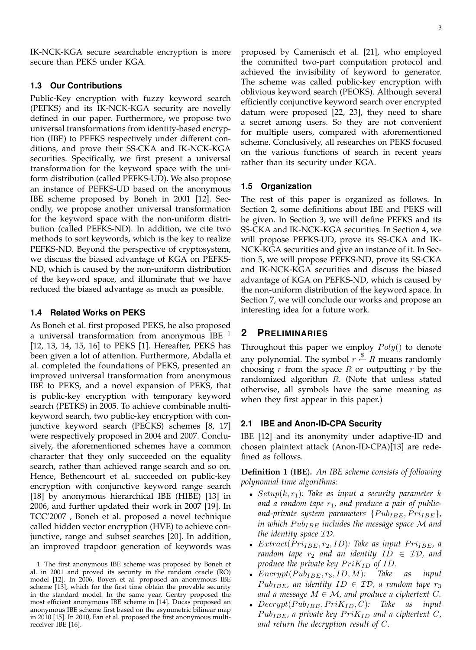IK-NCK-KGA secure searchable encryption is more secure than PEKS under KGA.

## **1.3 Our Contributions**

Public-Key encryption with fuzzy keyword search (PEFKS) and its IK-NCK-KGA security are novelly defined in our paper. Furthermore, we propose two universal transformations from identity-based encryption (IBE) to PEFKS respectively under different conditions, and prove their SS-CKA and IK-NCK-KGA securities. Specifically, we first present a universal transformation for the keyword space with the uniform distribution (called PEFKS-UD). We also propose an instance of PEFKS-UD based on the anonymous IBE scheme proposed by Boneh in 2001 [12]. Secondly, we propose another universal transformation for the keyword space with the non-uniform distribution (called PEFKS-ND). In addition, we cite two methods to sort keywords, which is the key to realize PEFKS-ND. Beyond the perspective of cryptosystem, we discuss the biased advantage of KGA on PEFKS-ND, which is caused by the non-uniform distribution of the keyword space, and illuminate that we have reduced the biased advantage as much as possible.

## **1.4 Related Works on PEKS**

As Boneh et al. first proposed PEKS, he also proposed a universal transformation from anonymous IBE  $<sup>1</sup>$ </sup> [12, 13, 14, 15, 16] to PEKS [1]. Hereafter, PEKS has been given a lot of attention. Furthermore, Abdalla et al. completed the foundations of PEKS, presented an improved universal transformation from anonymous IBE to PEKS, and a novel expansion of PEKS, that is public-key encryption with temporary keyword search (PETKS) in 2005. To achieve combinable multikeyword search, two public-key encryption with conjunctive keyword search (PECKS) schemes [8, 17] were respectively proposed in 2004 and 2007. Conclusively, the aforementioned schemes have a common character that they only succeeded on the equality search, rather than achieved range search and so on. Hence, Bethencourt et al. succeeded on public-key encryption with conjunctive keyword range search [18] by anonymous hierarchical IBE (HIBE) [13] in 2006, and further updated their work in 2007 [19]. In TCC'2007 , Boneh et al. proposed a novel technique called hidden vector encryption (HVE) to achieve conjunctive, range and subset searches [20]. In addition, an improved trapdoor generation of keywords was proposed by Camenisch et al. [21], who employed the committed two-part computation protocol and achieved the invisibility of keyword to generator. The scheme was called public-key encryption with oblivious keyword search (PEOKS). Although several efficiently conjunctive keyword search over encrypted datum were proposed [22, 23], they need to share a secret among users. So they are not convenient for multiple users, compared with aforementioned scheme. Conclusively, all researches on PEKS focused on the various functions of search in recent years

## **1.5 Organization**

rather than its security under KGA.

The rest of this paper is organized as follows. In Section 2, some definitions about IBE and PEKS will be given. In Section 3, we will define PEFKS and its SS-CKA and IK-NCK-KGA securities. In Section 4, we will propose PEFKS-UD, prove its SS-CKA and IK-NCK-KGA securities and give an instance of it. In Section 5, we will propose PEFKS-ND, prove its SS-CKA and IK-NCK-KGA securities and discuss the biased advantage of KGA on PEFKS-ND, which is caused by the non-uniform distribution of the keyword space. In Section 7, we will conclude our works and propose an interesting idea for a future work.

# **2 PRELIMINARIES**

Throughout this paper we employ  $Poly()$  to denote any polynomial. The symbol  $r \stackrel{\$}{\leftarrow} R$  means randomly choosing  $r$  from the space  $R$  or outputting  $r$  by the randomized algorithm  $R$ . (Note that unless stated otherwise, all symbols have the same meaning as when they first appear in this paper.)

## **2.1 IBE and Anon-ID-CPA Security**

IBE [12] and its anonymity under adaptive-ID and chosen plaintext attack (Anon-ID-CPA)[13] are redefined as follows.

**Definition 1** (**IBE**)**.** *An IBE scheme consists of following polynomial time algorithms:*

- $Setup(k, r_1)$ : Take as input a security parameter k and a random tape  $r_1$ , and produce a pair of publicand-private system parameters  $\{Pub_{IBE}, Pri_{IBE}\},\$ *in which Pub<sub>IBE</sub> includes the message space* M and *the identity space* ID*.*
- $Extract(Pri_{IBE}, r_{2}, ID)$ : Take as input  $Pri_{IBE}$ , a *random tape*  $r_2$  *and an identity*  $ID \in \mathcal{ID}$ , *and produce the private key*  $PriK_{ID}$  *of ID.*
- $\text{Encrypt}(Pub_{IBE}, r_3, ID, M)$ : Take as input  $Pub<sub>IBE</sub>$ , an identity  $ID \in ID$ , a random tape  $r_3$ *and a message*  $M \in \mathcal{M}$ , and produce a ciphertext C.
- $Decrypt(Pub_{IBE}, PriK_{ID}, C)$ : Take as input  $Pub<sub>IBE</sub>$ , a private key  $PriK<sub>ID</sub>$  and a ciphertext C, *and return the decryption result of* C*.*

<sup>1.</sup> The first anonymous IBE scheme was proposed by Boneh et al. in 2001 and proved its security in the random oracle (RO) model [12]. In 2006, Boyen et al. proposed an anonymous IBE scheme [13], which for the first time obtain the provable security in the standard model. In the same year, Gentry proposed the most efficient anonymous IBE scheme in [14]. Ducas proposed an anonymous IBE scheme first based on the asymmetric bilinear map in 2010 [15]. In 2010, Fan et al. proposed the first anonymous multireceiver IBE [16].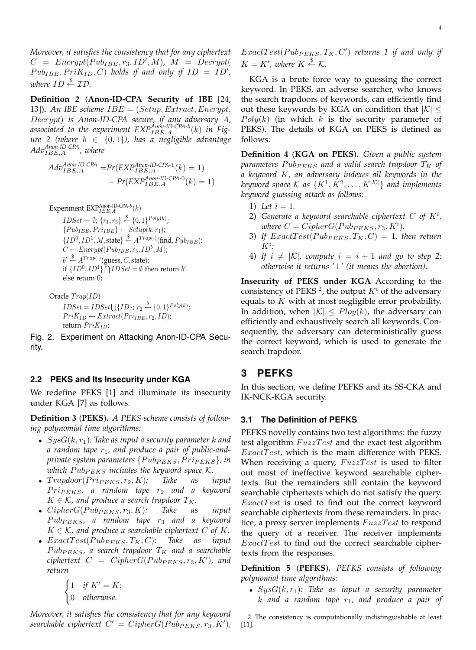*Moreover, it satisfies the consistency that for any ciphertext*  $C = \text{Energy}(Pub_{IBE}, r_3, ID', M), M = \text{Decrypt}($  $Pub_{IBE}, PriK_{ID}, C)$  *holds if and only if*  $ID = ID',$ *where*  $ID \overset{\$}{\leftarrow} \mathcal{ID}$ .

**Definition 2** (**Anon-ID-CPA Security of IBE** [24, 13])**.** *An IBE scheme* IBE = (Setup, Extract, Encrypt, Decrypt) *is Anon-ID-CPA secure, if any adversary* A*,* associated to the experiment  $\text{EXP}_{IBE,A}^{Anon\text{-}ID\text{-}\r{CPA-b}}(k)$  in Fig*ure 2 (where* b ∈ {0, 1}*), has a negligible advantage AdvAnon-ID-CPA* IBE,A *, where*

 $Adv_{IBE,A}^{Anon-ID-CPA} = Pr(EXP_{IBE,A}^{Anon-ID-CPA-1}(k) = 1)$  $- Pr(EXP<sub>IBE,A</sub><sup>Anon-ID-CPA-0</sup>(k) = 1)$ 

Experiment  $\text{EXP}_{IBE,A}^{\text{Anon-ID-CPA-}b}(k)$  $IDSet \leftarrow \emptyset; \{r_1, r_3\} \stackrel{\$}{\leftarrow} \{0, 1\}^{Poly(k)};$  ${Pub<sub>IBE</sub>, Pri<sub>IBE</sub>} \leftarrow Setup(k, r<sub>1</sub>);$  $\{ID^0, ID^1, M, \text{state}\} \stackrel{\$}{\leftarrow} A^{Trap(\cdot)}(\text{find}, Pub_{IBE});$  $C \leftarrow \text{Encrypt}(Pub_{IBE}, r_3, ID^b, M);$  $b' \stackrel{\$}{\leftarrow} A^{Trap(\cdot)}(\text{guess}, C, \text{state});$ if  $\{ID^0, ID^1\} \bigcap IDEet = \emptyset$  then return b' else return 0;

Oracle  $T$ rap(ID)

 $IDSet = IDSet \bigcup \{ID\}; r_2 \stackrel{\$}{\leftarrow} \{0, 1\}^{Poly(k)};$  $PriK_{ID} \leftarrow Extract(Pri_{IBE}, r_2, ID);$ return  $PriK_{ID}$ ;

Fig. 2. Experiment on Attacking Anon-ID-CPA Security.

#### **2.2 PEKS and Its Insecurity under KGA**

We redefine PEKS [1] and illuminate its insecurity under KGA [7] as follows.

**Definition 3** (**PEKS**)**.** *A PEKS scheme consists of following polynomial time algorithms:*

- SysG(k, r1)*: Take as input a security parameter* k *and* a random tape  $r_1$ , and produce a pair of public-and*private system parameters*  ${PubP_{EKS}, P{ri}_{PEKS}}$ *, in which*  $Pub_{PEKS}$  *includes the keyword space*  $K$ *.*
- $Trapdoor(Pri_{PEKS}, r_2, K)$ : Take as input  $Pri_{PEKS}$ , a random tape  $r_2$  and a keyword  $K \in \mathcal{K}$ , and produce a search trapdoor  $T_K$ .
- $CipherG(Pub_{PEKS}, r_3, K)$ : Take as input  $Pub_{PEKS}$ , a random tape  $r_3$  and a keyword  $K \in \mathcal{K}$ , and produce a searchable ciphertext C of K.
- $ExactTest(Pub_{PEKS}, T_K, C)$ : Take as input  $Pub_{PEKS}$ , a search trapdoor  $T_K$  and a searchable  $ciphertext \ \ C \ \ = \ \ CipherG(Pub_{PEKS}, r_3, K'), \ \ and$ *return*

 $\int 1$  *if*  $K' = K$ ; 0 *otherwise.*

*Moreover, it satisfies the consistency that for any keyword*  $searchable$  ciphertext  $C' = CipherG(Pub_{PEKS}, r_3, K')$ ,

KGA is a brute force way to guessing the correct keyword. In PEKS, an adverse searcher, who knows the search trapdoors of keywords, can efficiently find out these keywords by KGA on condition that  $|K| \leq$  $Poly(k)$  (in which k is the security parameter of PEKS). The details of KGA on PEKS is defined as follows:

**Definition 4** (**KGA on PEKS**)**.** *Given a public system* parameters  $Pub_{PEKS}$  and a valid search trapdoor  $T_K$  of *a keyword* K*, an adversary indexes all keywords in the* keyword space K as  $\{K^1, K^2, \ldots, K^{|\mathcal{K}|}\}$  and implements *keyword guessing attack as follows:*

- 1) Let  $i = 1$ .
- 2) Generate a keyword searchable ciphertext  $C$  of  $K^i$ , *where*  $C = CipherG(Pub_{PEKS}, r_3, K^i)$ .
- 3) If  $ExactTest(Pub_{PEKS}, T_K, C) = 1$ , then return K<sup>i</sup> *;*
- 4) If  $i \neq |\mathcal{K}|$ , compute  $i = i + 1$  and go to step 2; *otherwise it returns '*⊥*' (it means the abortion).*

**Insecurity of PEKS under KGA** According to the consistency of PEKS<sup>2</sup>, the output  $K^i$  of the adversary equals to  $K$  with at most negligible error probability. In addition, when  $|K| \leq \text{Plog}(k)$ , the adversary can efficiently and exhaustively search all keywords. Consequently, the adversary can deterministically guess the correct keyword, which is used to generate the search trapdoor.

# **3 PEFKS**

In this section, we define PEFKS and its SS-CKA and IK-NCK-KGA security.

#### **3.1 The Definition of PEFKS**

PEFKS novelly contains two test algorithms: the fuzzy test algorithm  $FuzzTest$  and the exact test algorithm  $Exact Test$ , which is the main difference with PEKS. When receiving a query,  $FuzzTest$  is used to filter out most of ineffective keyword searchable ciphertexts. But the remainders still contain the keyword searchable ciphertexts which do not satisfy the query.  $Exact Test$  is used to find out the correct keyword searchable ciphertexts from these remainders. In practice, a proxy server implements  $FuzzTest$  to respond the query of a receiver. The receiver implements  $Exact Test$  to find out the correct searchable ciphertexts from the responses.

**Definition 5** (**PEFKS**)**.** *PEFKS consists of following polynomial time algorithms:*

•  $SysG(k, r<sub>1</sub>)$ : Take as input a security parameter k *and a random tape* r1*, and produce a pair of*

2. The consistency is computationally indistinguishable at least [11].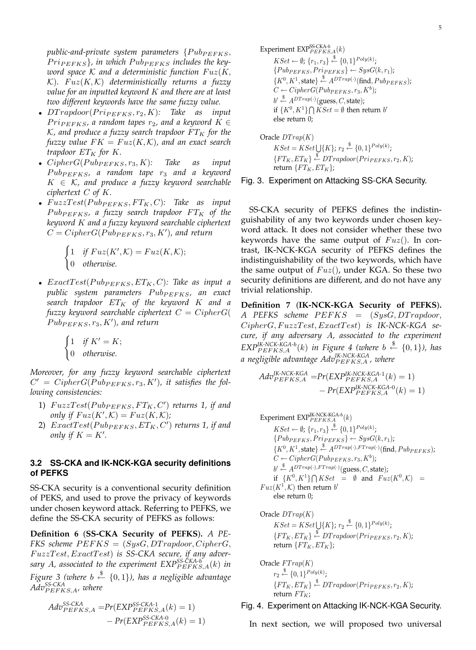public-and-private system parameters  $\{Pub_{PEFKS}, \}$  $Pr_{P \in FKS}$ , in which  $P$ ub<sub>PEFKS</sub> includes the key*word space*  $K$  *and a deterministic function*  $Fuz(K,$  $K$ ).  $Fuz(K,\mathcal{K})$  deterministically returns a fuzzy *value for an inputted keyword* K *and there are at least two different keywords have the same fuzzy value.*

- $DTrapdoor(Prip_{EFKS}, r_2, K)$ : Take as input  $Pr_{PEFKS}$ , a random tapes  $r_2$ , and a keyword  $K \in$  $K$ , and produce a fuzzy search trapdoor  $FT_K$  for the *fuzzy value*  $FK = Fuz(K, K)$ *, and an exact search trapdoor*  $ET_K$  *for*  $K$ *.*
- $CipherG(Pub_{PEFKS}, r_3, K)$ : Take as input  $Pub_{PEFKS}$ , a random tape  $r_3$  and a keyword  $K \in \mathcal{K}$ , and produce a fuzzy keyword searchable *ciphertext* C *of* K*.*
- $FuzzTest(Pub_{PEFKS}, FT_K, C)$ : Take as input  $Pub_{PEFKS}$ , a fuzzy search trapdoor  $FT_K$  of the *keyword* K *and a fuzzy keyword searchable ciphertext*  $C = CipherG(Pub_{PEFKS}, r_3, K')$ , and return

$$
\begin{cases} 1 & \text{if } Fuz(K', K) = Fuz(K, K); \\ 0 & \text{otherwise.} \end{cases}
$$

•  $ExactTest(Pub_{PEFKS}, ET_K, C)$ : Take as input a *public system parameters*  $Pub_{PEFKS}$ *, an exact search trapdoor* ET<sup>K</sup> *of the keyword* K *and a fuzzy keyword searchable ciphertext*  $C = CipherG($  $Pub_{PEFKS}, r_3, K'$ ), and return

> $\int 1$  *if*  $K' = K$ ; 0 *otherwise.*

*Moreover, for any fuzzy keyword searchable ciphertext*  $C' = CipherG(Pub_{PEFKS}, r_3, K')$ , it satisfies the fol*lowing consistencies:*

- 1)  $FuzzTest(Pub_{PEFKS}, FT_K, C')$  returns 1, if and *only if*  $Fuz(K',\mathcal{K}) = Fuz(K,\mathcal{K});$
- 2)  $ExactTest(Pub_{PEFKS}, ET_K, C')$  returns 1, if and *only if*  $K = K'$ *.*

## **3.2 SS-CKA and IK-NCK-KGA security definitions of PEFKS**

SS-CKA security is a conventional security definition of PEKS, and used to prove the privacy of keywords under chosen keyword attack. Referring to PEFKS, we define the SS-CKA security of PEFKS as follows:

**Definition 6** (**SS-CKA Security of PEFKS**)**.** *A PE-FKS* scheme  $PEFKS = (SysG, DTrapdoor, CipherG,$ F uzzT est, ExactT est) *is SS-CKA secure, if any adver*sary A, associated to the experiment  $\text{EXP}_{PEFKS,A}^{SS-CKA\text{-}b}(k)$  in *Figure 3 (where* b \$← {0, 1}*), has a negligible advantage AdvSS-CKA* P EFKS,A*, where*

$$
Adv_{PEFKS,A}^{SS-CKA} = Pr(EXP_{PEFKS,A}^{SS-CKA-1}(k) = 1)
$$
  
- Pr(EXP\_{PEFKS,A}^{SS-CKA-0}(k) = 1)

Experiment  $\text{EXP}_{PEFKS,A}^{\text{SS-CKA-}b}(k)$  $KSet \leftarrow \emptyset; \{r_1, r_3\} \stackrel{\$}{\leftarrow} \{0, 1\}^{Poly(k)};$  ${PubP_{EFFKS}, Prip_{EFFKS} \leftarrow SysG(k, r_1);}$  $\{K^0, K^1, \text{state}\} \stackrel{\$}{\leftarrow} A^{DTrap(\cdot)}(\text{find}, Pub_{PEFKS});$  $C \leftarrow CipherG(Pub_{PEFKS}, r_3, K^b);$  $b' \stackrel{\$}{\leftarrow} A^{DTrap(\cdot)}(\text{guess}, C, \text{state});$ if  $\{K^0, K^1\} \bigcap KSet = \emptyset$  then return b' else return 0;

Oracle  $DTrap(K)$  $KSet = KSet \bigcup \{K\}; r_2 \stackrel{\$}{\leftarrow} \{0,1\}^{Poly(k)};$  $\{FT_K, ET_K\} \stackrel{\$}{\leftarrow} DTrapdoor(Prip_{EFKS}, r_2, K);$ return  $\{FT_K, ET_K\};$ 

Fig. 3. Experiment on Attacking SS-CKA Security.

SS-CKA security of PEFKS defines the indistinguishability of any two keywords under chosen keyword attack. It does not consider whether these two keywords have the same output of  $Fuz()$ . In contrast, IK-NCK-KGA security of PEFKS defines the indistinguishability of the two keywords, which have the same output of  $Fuz()$ , under KGA. So these two security definitions are different, and do not have any trivial relationship.

**Definition 7** (**IK-NCK-KGA Security of PEFKS**)**.** *A PEFKS scheme PEFKS* = (SysG, DT rapdoor,  $CipherG, FuzzTest, ExactTest)$  *is IK-NCK-KGA secure, if any adversary* A*, associated to the experiment*  $EXP_{PEFKS,A}^{IK-NCK-KGA-b}(k)$  *in Figure* 4 (where  $b \stackrel{\$}{\leftarrow} \{0,1\}$ ), has *a negligible advantage AdvIK-NCK-KGA* P EFKS,A *, where*

$$
Adv_{PEFKS,A}^{IK-NCK-KGA} = Pr(EXP_{PEFKS,A}^{IK-NCK-KGA-1}(k) = 1)
$$
  
- Pr(EXP\_{PEFKS,A}^{IK-NCK-KGA-0}(k) = 1)

Experiment EXP<sup>K.NCK-KGA-b</sup>(k)  
\n
$$
KSet \leftarrow \emptyset; \{r_1, r_3\} \stackrel{\$}{\leftarrow} \{0, 1\}^{Poly(k)}; \n\{Pub_{PEFKS}, Pri_{PEFKS}\} \leftarrow SysG(k, r_1); \n\{K^0, K^1, state\} \stackrel{\$}{\leftarrow} A^{DTrap(\cdot), FTrap(\cdot)}(\text{find}, Pub_{PEFKS}); \nC \leftarrow CipherG(Pub_{PEFKS}, r_3, K^b); \n\quad \oint \stackrel{\$}{\leftarrow} A^{DTrap(\cdot),FTrap(\cdot)}(\text{guess}, C, state); \n\text{if } \{K^0, K^1\} \cap KSet = \emptyset \text{ and } Fuz(K^0, K) = \text{Fuz}(K^1, K) \text{ then return } b' \n\text{else return 0; \nOracle  $DTrap(K)$
$$

 $KSet = KSet \bigcup \{K\}; r_2 \stackrel{\$}{\leftarrow} \{0,1\}^{Poly(k)};$  $\{FT_K, ET_K\} \stackrel{\$}{\leftarrow} DTrapdoor(Pri_{PEFKS}, r_2, K);$ return  $\{FT_K, ET_K\};$ 

Oracle  $FTrap(K)$  $r_2 \stackrel{\$}{\leftarrow} \{0,1\}^{Poly(k)};$  $\{FT_K, ET_K\} \stackrel{\$}{\leftarrow} DTrapdoor(Prip_{EFKS}, r_2, K);$ return  $FT_K$ ;

# Fig. 4. Experiment on Attacking IK-NCK-KGA Security.

In next section, we will proposed two universal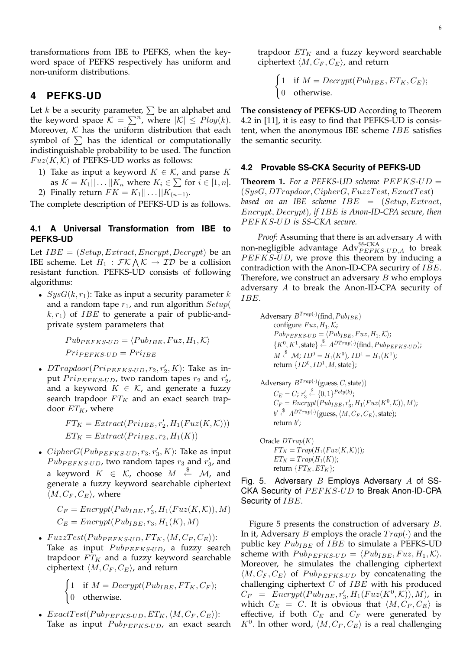transformations from IBE to PEFKS, when the keyword space of PEFKS respectively has uniform and non-uniform distributions.

# **4 PEFKS-UD**

Let k be a security parameter,  $\sum$  be an alphabet and the keyword space  $\mathcal{K} = \sum^n$ , where  $|\mathcal{K}| \leq Poly(k)$ . Moreover,  $K$  has the uniform distribution that each symbol of  $\Sigma$  has the identical or computationally indistinguishable probability to be used. The function  $Fuz(K,\mathcal{K})$  of PEFKS-UD works as follows:

- 1) Take as input a keyword  $K \in \mathcal{K}$ , and parse K as  $K = K_1 || \dots || K_n$  where  $K_i \in \sum$  for  $i \in [1, n]$ .
- 2) Finally return  $FK = K_1 || \dots || K_{(n-1)}$ .

The complete description of PEFKS-UD is as follows.

## **4.1 A Universal Transformation from IBE to PEFKS-UD**

Let  $IBE = (Setup, Extract,Encrypt,Decrypt)$  be an IBE scheme. Let  $H_1 : \mathcal{FK} \wedge \mathcal{K} \to \mathcal{ID}$  be a collision resistant function. PEFKS-UD consists of following algorithms:

•  $SysG(k, r<sub>1</sub>)$ : Take as input a security parameter k and a random tape  $r_1$ , and run algorithm  $Setup($  $(k, r_1)$  of *IBE* to generate a pair of public-andprivate system parameters that

$$
Pub_{PEFKS-UD} = \langle Pub_{IBE}, Fuz, H_1, K \rangle
$$
  
Prip<sub>EFKS-UD</sub> = Pr<sub>IIBE</sub>

•  $D Trapdoor(Pri_{PEFKS-UD}, r_2, r'_2, K)$ : Take as input  $Pr<sub>IPEFKS-UD</sub>$ , two random tapes  $r_2$  and  $r'_2$ , and a keyword  $K \in \mathcal{K}$ , and generate a fuzzy search trapdoor  $FT_K$  and an exact search trapdoor  $ET_K$ , where

$$
FT_K = Extract(Pr_{IBE}, r'_2, H_1(Fuz(K, K)))
$$
  

$$
ET_K = Extract(Pr_{IBE}, r_2, H_1(K))
$$

•  $CipherG(Pub_{PEFKS-UD}, r_3, r'_3, K)$ : Take as input  $Pub_{PEFKS-UD}$ , two random tapes  $r_3$  and  $r'_3$ , and a keyword  $K \in \mathcal{K}$ , choose  $M \stackrel{\$}{\leftarrow} \mathcal{M}$ , and generate a fuzzy keyword searchable ciphertext  $\langle M, C_F, C_E \rangle$ , where

 $C_F = \text{Energy}(Pub_{IBE}, r'_3, H_1(\text{Fuz}(K, \mathcal{K})), M)$  $C_E = \text{Energy}(Pub_{IBE}, r_3, H_1(K), M)$ 

•  $FuzzTest(Pub_{PEFKS-UD}, FT_K,\langle M, C_F, C_E \rangle):$ Take as input  $Pub_{PEFKS-UD}$ , a fuzzy search trapdoor  $FT_K$  and a fuzzy keyword searchable ciphertext  $\langle M , C_F , C_E \rangle$ , and return

> $\int 1$  if  $M = Decrypt(Pub_{IBE}, FT_K, C_F);$ 0 otherwise.

•  $Exact Test(Pub_{PEFKS-UD}, ET_K, \langle M, C_F, C_E \rangle):$ Take as input  $Pub_{PEFKS-UD}$ , an exact search trapdoor  $ET_K$  and a fuzzy keyword searchable ciphertext  $\langle M , C_F , C_E \rangle$ , and return

 $\int 1$  if  $M = Decrypt(Pub_{IBE}, ET_K, C_E);$ 0 otherwise.

**The consistency of PEFKS-UD** According to Theorem 4.2 in [11], it is easy to find that PEFKS-UD is consistent, when the anonymous IBE scheme  $IBE$  satisfies the semantic security.

#### **4.2 Provable SS-CKA Security of PEFKS-UD**

**Theorem 1.** For a PEFKS-UD scheme  $PEFKS-UD =$  $(SysG, DTrapdoor, CipherG, FuzzTest, ExactTest)$ *based on an IBE scheme* IBE = (Setup, Extract, Encrypt, Decrypt)*, if* IBE *is Anon-ID-CPA secure, then* P EFKS*-*UD *is SS-CKA secure.*

*Proof:* Assuming that there is an adversary A with non-negligible advantage  $\mathrm{Adv}_{PEFKS-UD,A}^{\mathrm{SS-CKA}}$  to break  $PEFKS-UD$ , we prove this theorem by inducing a contradiction with the Anon-ID-CPA securiry of  $IBE$ . Therefore, we construct an adversary B who employs adversary A to break the Anon-ID-CPA security of IBE.

Adversary 
$$
B^{Trap(\cdot)}
$$
 (find,  $Pub_{IBE}$ )  
configure  $Fuz, H_1, K$ ;  
 $Pub_{PEFKS-UD} = \langle Pub_{IBE}, Fuz, H_1, K \rangle$ ;  
 $\{K^0, K^1, \text{state}\} \stackrel{\$}{\leftarrow} A^{DTrap(\cdot)}(\text{find}, Pub_{PEFKS-UD})$ ;  
 $M \stackrel{\$}{\leftarrow} \mathcal{M}; ID^0 = H_1(K^0), ID^1 = H_1(K^1)$ ;  
return  $\{ID^0, ID^1, M, \text{state}\}$ ;

Adversary 
$$
B^{Trap(\cdot)}
$$
 (guess, C, state))  
\n
$$
C_E = C; r'_3 \stackrel{\$}{\leftarrow} \{0, 1\}^{Poly(k)}; \nC_F = Encryption(Pub_{IBE}, r'_3, H_1(Fuz(K^0, K)), M); \nb' \stackrel{\$}{\leftarrow} A^{DTrap(\cdot)}(\text{guess}, \langle M, C_F, C_E), \text{state}); \nreturn b';
$$

Oracle  $DTrap(K)$  $FT_K = Trap(H_1(Fuz(K, \mathcal{K}))) ;$  $ET_K = Trap(H_1(K))$ ; return  $\{FT_K, ET_K\};$ 

Fig. 5. Adversary  $B$  Employs Adversary  $A$  of SS-CKA Security of  $PEFKS-UD$  to Break Anon-ID-CPA Security of IBE.

Figure 5 presents the construction of adversary B. In it, Adversary B employs the oracle  $Trap(\cdot)$  and the public key  $Pub_{IBE}$  of  $IBE$  to simulate a PEFKS-UD scheme with  $Pub_{PEFKS-UD} = \langle Pub_{IBE}, Fuz, H_1, K \rangle.$ Moreover, he simulates the challenging ciphertext  $\langle M, C_F, C_E \rangle$  of  $Pub_{PEFKS-UD}$  by concatenating the challenging ciphertext  $C$  of  $IBE$  with his produced  $C_F = \text{Encrypt}(\text{Pub}_{\text{IBE}}, r'_3, H_1(\text{Fuz}(K^0, \mathcal{K})), M)$ , in which  $C_E = C$ . It is obvious that  $\langle M, C_F, C_E \rangle$  is effective, if both  $C_E$  and  $C_F$  were generated by  $K^0$ . In other word,  $\langle M, C_F, C_E \rangle$  is a real challenging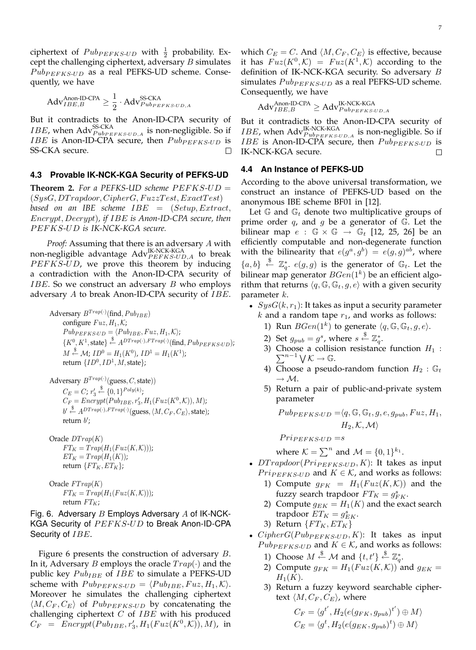ciphertext of  $Pub_{PEFKS-UD}$  with  $\frac{1}{2}$  probability. Except the challenging ciphertext, adversary  $B$  simulates  $Pub_{PEFKS-UD}$  as a real PEFKS-UD scheme. Consequently, we have

$$
Adv_{IBE,B}^{\text{Anon-ID-CPA}} \ge \frac{1}{2} \cdot Adv_{Pub_{PEFKS-UD,A}}^{\text{SS-CKA}}
$$

But it contradicts to the Anon-ID-CPA security of *IBE*, when  $\text{Adv}_{Pub_{PEFKS-UD,A}}^{SS-CKA}$  is non-negligible. So if IBE is Anon-ID-CPA secure, then  $Pub_{PEFKS-UD}$  is SS-CKA secure.  $\Box$ 

#### **4.3 Provable IK-NCK-KGA Security of PEFKS-UD**

**Theorem 2.** For a PEFKS-UD scheme  $PEFKS-UD =$  $(SysG, DTrapdoor, CipherG, FuzzTest, ExactTest)$ *based on an IBE scheme* IBE = (Setup, Extract, Encrypt, Decrypt)*, if* IBE *is Anon-ID-CPA secure, then* P EFKS*-*UD *is IK-NCK-KGA secure.*

*Proof:* Assuming that there is an adversary A with non-negligible advantage  $\mathrm{Adv}_{PEFKS-UD,A}^{\mathrm{IK-NCK-KGA}}$  to break  $PEFKS-UD$ , we prove this theorem by inducing a contradiction with the Anon-ID-CPA security of *IBE*. So we construct an adversary  $B$  who employs adversary  $A$  to break Anon-ID-CPA security of  $IBE$ .

Adversary  $B^{Trap(\cdot)}(\text{find},Pub_{IBE})$ configure  $Fuz, H_1, K$ ;  $Pub_{PEFKS-UD} = \langle Pub_{IBE}, Fuz, H_1, K \rangle;$  $\{K^0, K^1, \text{state}\}\stackrel{\$}{\leftarrow} A^{DTrap(\cdot),FTrap(\cdot)}(\text{find},Pub_{PEFKS-UD});$  $M \stackrel{\$}{\leftarrow} \mathcal{M}$ ;  $ID^0 = H_1(K^0)$ ,  $ID^1 = H_1(K^1)$ ; return  $\{ID^0, ID^1, M, \text{state}\};$ 

Adversary 
$$
B^{Trap(\cdot)}(\text{guess}, C, \text{state}))
$$
  
\n $C_E = C; r'_3 \overset{\$}{\leftarrow} \{0, 1\}^{Poly(k)};$   
\n $C_F = Encryption(Pub_{IBE}, r'_3, H_1(Fuz(K^0, K)), M);$   
\n $b' \overset{\$}{\leftarrow} A^{DTrap(\cdot)}, FTrap(\cdot)}(\text{guess}, \langle M, C_F, C_E \rangle, \text{state});$   
\nreturn  $b';$ 

Oracle  $DTrap(K)$  $FT_K = Trap(H_1(Fuz(K, K)))$ ;  $ET_K = Trap(H_1(K));$ return  $\{FT_K, ET_K\};$ 

Oracle 
$$
FTrap(K)
$$
  
\n $FT_K = Trap(H_1(Fuz(K, K)))$ ;  
\nreturn  $FT_K$ ;

Fig. 6. Adversary  $B$  Employs Adversary  $A$  of IK-NCK-KGA Security of  $PEFKS-UD$  to Break Anon-ID-CPA Security of *IBE*.

Figure 6 presents the construction of adversary B. In it, Adversary *B* employs the oracle  $Trap(\cdot)$  and the public key  $Pub_{IBE}$  of  $IBE$  to simulate a PEFKS-UD scheme with  $Pub_{PEFKS-UD} = \langle Pub_{IBE}, Fuz, H_1, K \rangle.$ Moreover he simulates the challenging ciphertext  $\langle M, C_F, C_E \rangle$  of  $Pub_{PEFKS-UD}$  by concatenating the challenging ciphertext  $C$  of  $IBE$  with his produced  $C_F = \text{Energy}(Pub_{IBE}, r'_3, H_1(\text{Fuz}(K^0, \mathcal{K})), M)$ , in

which  $C_E = C$ . And  $\langle M, C_F, C_E \rangle$  is effective, because it has  $Fuz(K^0,\mathcal{K}) = Fuz(K^1,\mathcal{K})$  according to the definition of IK-NCK-KGA security. So adversary B simulates  $Pub_{PEFKS-UD}$  as a real PEFKS-UD scheme. Consequently, we have

$$
Adv_{IBE,B}^{Anon\text{-ID-CPA}} \geq Adv_{PubPEFKS\text{-}UD,A}^{IK\text{-NCK-KGA}}
$$

But it contradicts to the Anon-ID-CPA security of *IBE*, when  $\text{Adv}_{PubPEFKS-UD,A}^{IK-NCK-KGA}$  is non-negligible. So if *IBE* is Anon-ID-CPA secure, then  $Pub_{PEFKS-UD}$  is IK-NCK-KGA secure.  $\Box$ 

#### **4.4 An Instance of PEFKS-UD**

According to the above universal transformation, we construct an instance of PEFKS-UD based on the anonymous IBE scheme BF01 in [12].

Let  $\mathbb{G}$  and  $\mathbb{G}_t$  denote two multiplicative groups of prime order  $q$ , and  $q$  be a generator of  $\mathbb{G}$ . Let the bilinear map  $e : \mathbb{G} \times \mathbb{G} \rightarrow \mathbb{G}_t$  [12, 25, 26] be an efficiently computable and non-degenerate function with the bilinearity that  $e(g^a, g^b) = e(g, g)^{ab}$ , where  $\{a, b\} \stackrel{\$}{\leftarrow} \mathbb{Z}_q^*$ .  $e(g, g)$  is the generator of  $\mathbb{G}_t$ . Let the bilinear map generator  $BGen(1^k)$  be an efficient algorithm that returns  $\langle q, \mathbb{G}, \mathbb{G}_t, g, e \rangle$  with a given security parameter k.

- $SysG(k, r<sub>1</sub>)$ : It takes as input a security parameter k and a random tape  $r_1$ , and works as follows:
	- 1) Run  $BGen(1^k)$  to generate  $\langle q, \mathbb{G}, \mathbb{G}_t, g, e \rangle$ .
	- 2) Set  $g_{pub}=g^s$ , where  $s \stackrel{\$}{\leftarrow} \mathbb{Z}_q^*$ .
	- 3) Choose a collision resistance function  $H_1$ :  $\sum^{n-1} \bigvee \mathcal{K} \to \mathbb{G}.$
	- 4) Choose a pseudo-random function  $H_2 : \mathbb{G}_t$  $\rightarrow$  M.
	- 5) Return a pair of public-and-private system parameter

$$
Pub_{PEFKS-UD} = \langle q, \mathbb{G}, \mathbb{G}_t, g, e, g_{pub}, Fuz, H_1,
$$
  

$$
H_2, \mathcal{K}, \mathcal{M} \rangle
$$

 $Pr<sub>PEFKS-UD</sub> = s$ 

where  $K = \sum^n$  and  $\mathcal{M} = \{0, 1\}^{k_1}$ .

- DT rapdoor ( $Pr_{PEFKS-UD}$ , K): It takes as input  $Pr<sub>PEFKS-UD</sub>$  and  $K \in \mathcal{K}$ , and works as follows:
	- 1) Compute  $g_{FK} = H_1(Fuz(K, K))$  and the fuzzy search trapdoor  $FT_K = g_{FK}^s$ .
	- 2) Compute  $g_{EK} = H_1(K)$  and the exact search trapdoor  $ET_K = g_{EK}^s$ .

3) Return 
$$
\{FT_K, ET_K\}
$$

- $CipherG(Pub_{PEFKS-UD}, K)$ : It takes as input  $Pub_{PEFKS-UD}$  and  $K \in \mathcal{K}$ , and works as follows:
	- 1) Choose  $M \xleftarrow{\$} \mathcal{M}$  and  $\{t, t'\} \xleftarrow{\$} \mathbb{Z}_q^*$ .
	- 2) Compute  $g_{FK} = H_1(Fuz(K, K))$  and  $g_{EK} =$  $H_1(K)$ .
	- 3) Return a fuzzy keyword searchable ciphertext  $\langle M , C_F , C_E \rangle$ , where

$$
C_F = \langle g^{t'}, H_2(e(g_{FK}, g_{pub})^{t'}) \oplus M \rangle
$$
  
\n
$$
C_E = \langle g^t, H_2(e(g_{EK}, g_{pub})^t) \oplus M \rangle
$$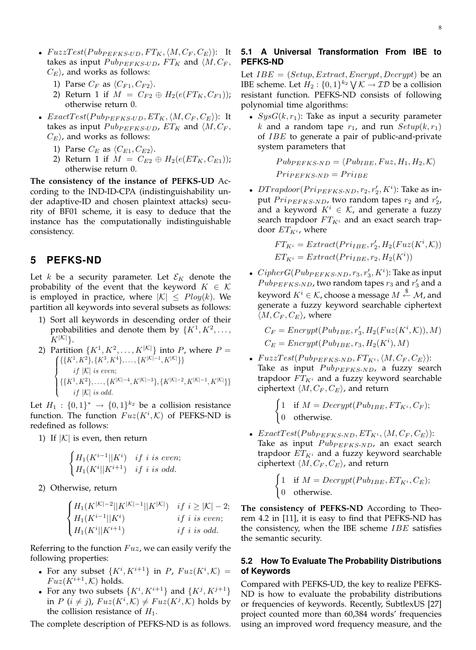- $FuzzTest(Pub_{PEFKS-UD}, FT_{K}, \langle M, C_{F}, C_{E} \rangle)$ : It takes as input  $Pub_{PEFKS-UD}$ ,  $FT_K$  and  $\langle M, C_F, \rangle$  $C_E$ , and works as follows:
	- 1) Parse  $C_F$  as  $\langle C_{F1}, C_{F2} \rangle$ .
	- 2) Return 1 if  $M = C_{F2} \oplus H_2(e(FT_K, C_{F1}))$ ; otherwise return 0.
- $ExactTest(Pub_{PEFKS-UD}, ET_K, \langle M, C_F, C_E \rangle)$ : It takes as input  $Pub_{PEFKS-UD}$ ,  $ET_K$  and  $\langle M, C_F, \rangle$  $C_E$ , and works as follows:
	- 1) Parse  $C_E$  as  $\langle C_{E1}, C_{E2} \rangle$ .
	- 2) Return 1 if  $M = C_{E2} \oplus H_2(e(ET_K, C_{E1}))$ ; otherwise return 0.

**The consistency of the instance of PEFKS-UD** According to the IND-ID-CPA (indistinguishability under adaptive-ID and chosen plaintext attacks) security of BF01 scheme, it is easy to deduce that the instance has the computationally indistinguishable consistency.

# **5 PEFKS-ND**

Let k be a security parameter. Let  $\mathcal{E}_K$  denote the probability of the event that the keyword  $K \in \mathcal{K}$ is employed in practice, where  $|K| \leq Poly(k)$ . We partition all keywords into several subsets as follows:

- 1) Sort all keywords in descending order of their probabilities and denote them by  $\{K^1, K^2, \ldots,$  $K^{|\mathcal{K}|}$ .
- 2) Partition  $\{K^1, K^2, \ldots, K^{|\mathcal{K}|}\}\$  into P, where  $P =$  $\{ {\{K^1, K^2\}, \{K^3, K^4\}, \ldots, \{K^{|{\mathcal{K}}|-1}, K^{|{\mathcal{K}}|}\} \}}$  $\int$  $\left\lfloor \right\rfloor$ if  $|K|$  is even;  $\{ \{K^1, K^2\}, \ldots, \{ K^{|{\cal K}|-4}, K^{|{\cal K}|-3} \}, \{ K^{|{\cal K}|-2}, K^{|{\cal K}|-1}, K^{|{\cal K}|} \} \}$ if  $|K|$  is odd.

Let  $H_1: \{0,1\}^* \rightarrow \{0,1\}^{k_2}$  be a collision resistance function. The function  $Fuz(K^i, \mathcal{K})$  of PEFKS-ND is redefined as follows:

1) If  $|K|$  is even, then return

$$
\begin{cases} H_1(K^{i-1}||K^i) & if \ i \ is \ even; \\ H_1(K^i||K^{i+1}) & if \ i \ is \ odd. \end{cases}
$$

2) Otherwise, return

$$
\begin{cases} H_1(K^{|{\cal K}|-2}||K^{|{\cal K}|-1}||K^{|{\cal K}|}) & if \ i\geq |{\cal K}|-2; \\ H_1(K^{i-1}||K^i) & if \ i \ is \ even; \\ H_1(K^i||K^{i+1}) & if \ i \ is \ odd. \end{cases}
$$

Referring to the function  $Fuz$ , we can easily verify the following properties:

- For any subset  $\{K^i, K^{i+1}\}$  in P,  $Fuz(K^i, \mathcal{K}) =$  $Fuz(K^{i+1},\mathcal{K})$  holds.
- For any two subsets  $\{K^i, K^{i+1}\}$  and  $\{K^j, K^{j+1}\}$ in  $P(i \neq j)$ ,  $Fuz(K^i, K) \neq Fuz(K^j, K)$  holds by the collision resistance of  $H_1$ .

The complete description of PEFKS-ND is as follows.

## **5.1 A Universal Transformation From IBE to PEFKS-ND**

Let  $IBE = (Setup, Extract,Encrypt,Decrypt)$  be an IBE scheme. Let  $H_2: \{0,1\}^{k_2} \setminus \mathcal{K} \to \mathcal{ID}$  be a collision resistant function. PEFKS-ND consists of following polynomial time algorithms:

•  $SysG(k, r_1)$ : Take as input a security parameter k and a random tape  $r_1$ , and run  $Setup(k, r_1)$ of IBE to generate a pair of public-and-private system parameters that

> $Pub_{PEFKS-ND} = \langle Pub_{IBE}, Fuz, H_1, H_2, K \rangle$  $Pr_{P \in FKS-ND} = Pr_{IBE}$

•  $DTrapdoor(Prip_{EFKS-ND}, r_2, r'_2, K^i)$ : Take as input  $Pr<sub>IPEFKS-ND</sub>$ , two random tapes  $r_2$  and  $r'_2$ , and a keyword  $K^i \in \mathcal{K}$ , and generate a fuzzy search trapdoor  $FT_{K^i}$  and an exact search trapdoor  $ET_{K^i}$ , where

> $FT_{K^i} = Extract(Pri_{IBE}, r'_2, H_2(Fuz(K^i, K)))$  $ET_{K^i} = Extract(Pr_{IBE}, r_2, H_2(K^i))$

-  $CipherG(Pub_{PEFKS\text{-}ND}, r_3, r_3', K^i)$ : Take as input  $Pub_{PEFKS-ND}$ , two random tapes  $r_3$  and  $r'_3$  and a keyword  $K^i \in \mathcal{K}$ , choose a message  $M \stackrel{\$}{\leftarrow} \mathcal{M}$ , and generate a fuzzy keyword searchable ciphertext  $\langle M, C_F, C_E \rangle$ , where

 $C_F = \text{Encrypt}(Pub_{IBE}, r'_3, H_2(Fuz(K^i, \mathcal{K})), M)$  $C_E = \text{Encrypt}(Pub_{IBE}, r_3, H_2(K^i), M)$ 

- $FuzzTest(Pub_{PEFKS-ND}, FT_{K^i}, \langle M, C_F, C_E \rangle):$ Take as input  $Pub_{PEFKS-ND}$ , a fuzzy search trapdoor  $FT_{K^i}$  and a fuzzy keyword searchable ciphertext  $\langle M , C_F , C_E \rangle$ , and return
	- $\int 1$  if  $M = Decrypt(Pub_{IBE}, FT_{K^i}, C_F);$ 0 otherwise.
- ExactTest( $Pub_{PEFKS-ND}$ ,  $ET_{K^i}$ ,  $\langle M, C_F, C_E \rangle$ ): Take as input  $Pub_{PEFKS-ND}$ , an exact search trapdoor  $ET_{K^i}$  and a fuzzy keyword searchable ciphertext  $\langle M, C_F, C_E \rangle$ , and return

$$
\begin{cases} 1 & \text{if } M = Decrypt(Pub_{IBE}, ET_{K^i}, C_E); \\ 0 & \text{otherwise.} \end{cases}
$$

**The consistency of PEFKS-ND** According to Theorem 4.2 in [11], it is easy to find that PEFKS-ND has the consistency, when the IBE scheme  $IBE$  satisfies the semantic security.

### **5.2 How To Evaluate The Probability Distributions of Keywords**

Compared with PEFKS-UD, the key to realize PEFKS-ND is how to evaluate the probability distributions or frequencies of keywords. Recently, SubtlexUS [27] project counted more than 60,384 words' frequencies using an improved word frequency measure, and the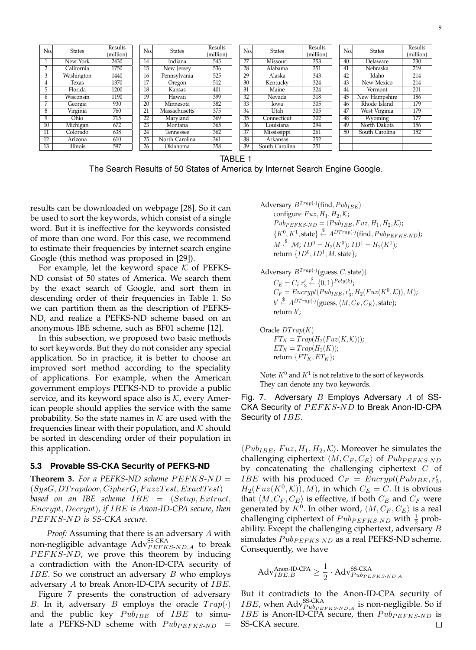| No.             | <b>States</b> | Results<br>(million) | No.             | <b>States</b>  | Results<br>(million) | N <sub>o</sub>  | <b>States</b>  | Results<br>(million) | No. | <b>States</b>  | Results<br>(million) |
|-----------------|---------------|----------------------|-----------------|----------------|----------------------|-----------------|----------------|----------------------|-----|----------------|----------------------|
|                 | New York      | 2430                 | 14              | Indiana        | 545                  | 27              | Missouri       | 353                  | 40  | Delaware       | 230                  |
|                 | California    | 1750                 | 15              | New Jersey     | 536                  | 28              | Alabama        | 351                  | 41  | Nebraska       | 219                  |
| 3               | Washington    | 1440                 | 16              | Pennsylvania   | 525                  | 29              | Alaska         | 343                  | 42  | Idaho          | 214                  |
| 4               | Texas         | 1370                 | 17              | Oregon         | 512                  | 30              | Kentucky       | 324                  | 43  | New Mexico     | 214                  |
| 5               | Florida       | 1200                 | 18              | Kansas         | 401                  | $\overline{31}$ | Maine          | 324                  | 44  | Vermont        | 201                  |
| h               | Wisconsin     | 1190                 | 19              | Hawaii         | 399                  | 32              | Nevada         | 318                  | 45  | New Hampshire  | 186                  |
| 7               | Georgia       | 930                  | 20              | Minnesota      | 382                  | 33              | Iowa           | 305                  | 46  | Rhode Island   | 179                  |
| 8               | Virginia      | 760                  | $2\overline{1}$ | Massachusetts  | 375                  | 34              | Utah           | 305                  | 47  | West Virginia  | 179                  |
| 9               | Ohio          | 715                  | 22              | Marvland       | 369                  | 35              | Connecticut    | 302                  | 48  | Wyoming        | 177                  |
| 10              | Michigan      | 672                  | 23              | Montana        | 365                  | 36              | Louisiana      | 294                  | 49  | North Dakota   | 156                  |
| $\overline{11}$ | Colorado      | 638                  | $\overline{24}$ | Tennessee      | 362                  | 37              | Mississippi    | 261                  | 50  | South Carolina | 152                  |
| $1\overline{2}$ | Arizona       | 610                  | 25              | North Carolina | 361                  | 38              | Arkansas       | 252                  |     |                |                      |
| $\overline{13}$ | Illinois      | 597                  | 26              | Oklahoma       | 358                  | 39              | South Carolina | 251                  |     |                |                      |

TABLE 1

The Search Results of 50 States of America by Internet Search Engine Google.

results can be downloaded on webpage [28]. So it can be used to sort the keywords, which consist of a single word. But it is ineffective for the keywords consisted of more than one word. For this case, we recommend to estimate their frequencies by internet search engine Google (this method was proposed in [29]).

For example, let the keyword space  $K$  of PEFKS-ND consist of 50 states of America. We search them by the exact search of Google, and sort them in descending order of their frequencies in Table 1. So we can partition them as the description of PEFKS-ND, and realize a PEFKS-ND scheme based on an anonymous IBE scheme, such as BF01 scheme [12].

In this subsection, we proposed two basic methods to sort keywords. But they do not consider any special application. So in practice, it is better to choose an improved sort method according to the speciality of applications. For example, when the American government employs PEFKS-ND to provide a public service, and its keyword space also is  $K$ , every American people should applies the service with the same probability. So the state names in  $K$  are used with the frequencies linear with their population, and  $K$  should be sorted in descending order of their population in this application.

#### **5.3 Provable SS-CKA Security of PEFKS-ND**

**Theorem 3.** For a PEFKS-ND scheme  $PEFKS-ND =$  $(SysG, DTrapdoor, CipherG, FuzzTest, ExactTest)$ *based on an IBE scheme* IBE = (Setup, Extract, Encrypt, Decrypt)*, if* IBE *is Anon-ID-CPA secure, then* P EFKS*-*ND *is SS-CKA secure.*

*Proof:* Assuming that there is an adversary A with non-negligible advantage  $\mathrm{Adv}_{PEFKS\text{-}ND,A}^{\mathrm{SS-CKA}}$  to break  $PEFKS-ND$ , we prove this theorem by inducing a contradiction with the Anon-ID-CPA security of  $IBE$ . So we construct an adversary  $B$  who employs adversary A to break Anon-ID-CPA security of IBE.

Figure 7 presents the construction of adversary B. In it, adversary B employs the oracle  $Trap(\cdot)$ and the public key  $Pub_{IBE}$  of  $IBE$  to simulate a PEFKS-ND scheme with  $Pub_{PEFKS-ND}$  =

Adversary  $B^{Trap(\cdot)}(\text{find},Pub_{IBE})$ configure  $Fuz, H_1, H_2, K$ ;  $Pub_{PEFKS-ND} = \langle Pub_{IBE}, Fuz, H_1, H_2, K \rangle;$  $\{K^0, K^1, \text{state}\}\stackrel{\$}{\leftarrow} A^{DTrap(\cdot)}(\text{find}, Pub_{PEFKS\text{-}ND});$  $M \stackrel{\$}{\leftarrow} \mathcal{M}$ ;  $ID^0 = H_2(K^0)$ ;  $ID^1 = H_2(K^1)$ ; return  $\{ID^0, ID^1, M, \text{state}\};$ 

Adversary  $B^{Trap(\cdot)}(\text{guess}, C, \text{state}))$  $C_E = C; r'_3 \stackrel{\$}{\leftarrow} \{0,1\}^{Poly(k)};$  $C_F = \text{Energy}(Pub_{IBE}, r'_3, H_2(Fuz(K^0, K)), M);$  $b' \stackrel{\$}{\leftarrow} A^{DTrap(\cdot)}(\text{guess}, \langle M, C_F, C_E \rangle, \text{state});$ return  $b$ ;

Oracle  $DTrap(K)$  $FT_K = Trap(H_2(Fuz(K, K)))$ ;  $ET_K = Trap(H_2(K))$ ; return  $\{FT_K, ET_K\};$ 

Note:  $K^0$  and  $K^1$  is not relative to the sort of keywords. They can denote any two keywords.

Fig. 7. Adversary  $B$  Employs Adversary  $A$  of SS-CKA Security of  $PEFKS-ND$  to Break Anon-ID-CPA Security of IBE.

 $\langle Pub_{IBE}, Fuz, H_1, H_2, K \rangle$ . Moreover he simulates the challenging ciphertext  $\langle M, C_F, C_E \rangle$  of  $Pub_{PEFKS-ND}$ by concatenating the challenging ciphertext  $C$  of *IBE* with his produced  $C_F = \text{Energy}(Pub_{IBE}, r_3', )$  $H_2(Fuz(K^0,\mathcal{K}))$ , M), in which  $C_E = C$ . It is obvious that  $\langle M, C_F, C_E \rangle$  is effective, if both  $C_F$  and  $C_F$  were generated by  $K^0.$  In other word,  $\langle M , C_F , C_E \rangle$  is a real challenging ciphertext of  $Pub_{PEFKS-ND}$  with  $\frac{1}{2}$  probability. Except the challenging ciphertext, adversary  $B$ simulates  $Pub_{PEFKS-ND}$  as a real PEFKS-ND scheme. Consequently, we have

$$
Adv_{\textit{IBE},B}^{\text{Anon-ID-CPA}} \geq \frac{1}{2} \cdot Adv_{\textit{PubPEFKS-ND},A}^{\text{SS-CKA}}
$$

But it contradicts to the Anon-ID-CPA security of *IBE*, when  $Adv_{PubPEFKS-ND, A}^{SS-CKA}$  is non-negligible. So if *IBE* is Anon-ID-CPA secure, then  $Pub_{PEFKS-ND}$  is SS-CKA secure. $\Box$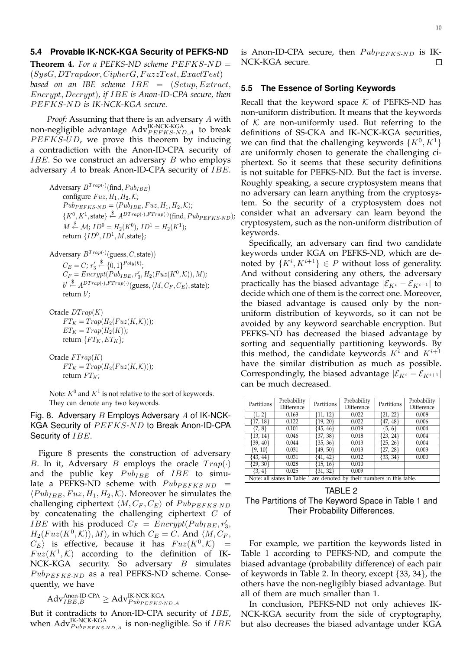#### **5.4 Provable IK-NCK-KGA Security of PEFKS-ND**

**Theorem 4.** For a PEFKS-ND scheme  $PEFKS-ND =$  $(SysG, DTrapdoor, CipherG, FuzzTest, ExactTest)$ *based on an IBE scheme* IBE = (Setup, Extract, Encrypt, Decrypt)*, if* IBE *is Anon-ID-CPA secure, then* P EFKS*-*ND *is IK-NCK-KGA secure.*

*Proof:* Assuming that there is an adversary A with non-negligible advantage  $\mathrm{Adv}_{PEFKS\text{-}ND,A}^{\text{IK-NCK-KGA}}$  to break  $PEFKS-UD$ , we prove this theorem by inducing a contradiction with the Anon-ID-CPA security of *IBE*. So we construct an adversary  $B$  who employs adversary  $A$  to break Anon-ID-CPA security of  $IBE$ .

Adversary  $B^{Trap(\cdot)}(\text{find},Pub_{IBE})$ configure  $Fuz, H_1, H_2, K;$  $Pub_{PEFKS-ND} = \langle Pub_{IBE}, Fuz, H_1, H_2, K \rangle;$  $\{K^0, K^1, \text{state}\} \stackrel{\$}{\leftarrow} A^{DTrap(\cdot),FTrap(\cdot)}(\text{find}, Pub_{PEFKS\text{-}ND});$  $M \stackrel{\$}{\leftarrow} \mathcal{M}$ ;  $ID^0 = H_2(K^0)$ ,  $ID^1 = H_2(K^1)$ ; return  $\{ID^0, ID^1, M, state\};$ 

Adversary 
$$
B^{Trap(\cdot)}(\text{guess}, C, \text{state}))
$$
  
\n $C_E = C; r'_3 \overset{\$}{\leftarrow} \{0, 1\}^{Poly(k)};$   
\n $C_F = Encryption(Pub_{IBE}, r'_3, H_2(Fuz(K^0, K)), M);$   
\n $b' \overset{\$}{\leftarrow} A^{DTrap(\cdot)}, FTrap(\cdot)}(\text{guess}, \langle M, C_F, C_E \rangle, \text{state});$   
\nreturn  $b';$ 

Oracle  $DTrap(K)$  $FT_K = Trap(H_2(Fuz(K, K)))$ ;  $ET_K = Trap(H_2(K))$ ; return  $\{FT_K, ET_K\};$ 

Oracle 
$$
FTrap(K)
$$
  
\n
$$
FT_K = Trap(H_2(Fuz(K, K)))
$$
\nreturn 
$$
FT_K
$$

Note:  $K^0$  and  $K^1$  is not relative to the sort of keywords. They can denote any two keywords.

Fig. 8. Adversary  $B$  Employs Adversary  $A$  of IK-NCK-KGA Security of  $PEFKS-ND$  to Break Anon-ID-CPA Security of IBE.

Figure 8 presents the construction of adversary B. In it, Adversary B employs the oracle  $Trap(\cdot)$ and the public key  $Pub_{IBE}$  of  $IBE$  to simulate a PEFKS-ND scheme with  $Pub_{PEFKS-ND}$  =  $\langle Pub_{IBE}, Fuz, H_1, H_2, \mathcal{K} \rangle$ . Moreover he simulates the challenging ciphertext  $\langle M, C_F, C_E \rangle$  of  $Pub_{PEFKS-ND}$ by concatenating the challenging ciphertext  $C$  of *IBE* with his produced  $C_F = \text{Energy}(Pub_{IBE}, r'_3, )$  $H_2(Fuz(K^0,\mathcal{K}))$ , M), in which  $C_E = C$ . And  $\langle M, C_F, \rangle$  $C_E$  is effective, because it has  $Fuz(K^0, \mathcal{K})$  =  $Fuz(K^1, K)$  according to the definition of IK-NCK-KGA security. So adversary  $B$  simulates  $Pub_{PEFKS-ND}$  as a real PEFKS-ND scheme. Consequently, we have

 $\mathrm{Adv}_{IBE,B}^{\mathrm{Anon}\text{-} \mathrm{ID}\text{-} \mathrm{CPA}} \geq \mathrm{Adv}_{Pub_{PEFKS\text{-}ND,A}}^{\mathrm{IK\text{-}NCK\text{-}KGA}}$ 

But it contradicts to Anon-ID-CPA security of *IBE*, when  $\mathrm{Adv}_{Pub_{PEFKS-ND,A}}^{\text{IK-NCK-KGA}}$  is non-negligible. So if  $IBE$ 

is Anon-ID-CPA secure, then  $Pub_{PEFKS-ND}$  is IK-NCK-KGA secure. П

#### **5.5 The Essence of Sorting Keywords**

Recall that the keyword space  $K$  of PEFKS-ND has non-uniform distribution. It means that the keywords of  $K$  are non-uniformly used. But referring to the definitions of SS-CKA and IK-NCK-KGA securities, we can find that the challenging keywords  $\{K^0, K^1\}$ are uniformly chosen to generate the challenging ciphertext. So it seems that these security definitions is not suitable for PEFKS-ND. But the fact is inverse. Roughly speaking, a secure cryptosystem means that no adversary can learn anything from the cryptosystem. So the security of a cryptosystem does not consider what an adversary can learn beyond the cryptosystem, such as the non-uniform distribution of keywords.

Specifically, an adversary can find two candidate keywords under KGA on PEFKS-ND, which are denoted by  $\{K^i, K^{i+1}\} \in P$  without loss of generality. And without considering any others, the adversary practically has the biased advantage  $|\mathcal{E}_{K^{i}} - \mathcal{E}_{K^{i+1}}|$  to decide which one of them is the correct one. Moreover, the biased advantage is caused only by the nonuniform distribution of keywords, so it can not be avoided by any keyword searchable encryption. But PEFKS-ND has decreased the biased advantage by sorting and sequentially partitioning keywords. By this method, the candidate keywords  $K^i$  and  $K^{i+1}$ have the similar distribution as much as possible. Correspondingly, the biased advantage  $|\mathcal{E}_{K^i} - \mathcal{E}_{K^{i+1}}|$ can be much decreased.

| Partitions                                                              | Probability<br>Difference | Partitions   | Probability<br>Difference | Partitions   | Probability<br>Difference |  |
|-------------------------------------------------------------------------|---------------------------|--------------|---------------------------|--------------|---------------------------|--|
| $\{1,\overline{2}\}$                                                    | 0.163                     | $\{11, 12\}$ | 0.022                     | ${21, 22}$   | 0.008                     |  |
| $\{17, 18\}$                                                            | 0.122                     | ${19, 20}$   | 0.022                     | $\{47, 48\}$ | 0.006                     |  |
| {7, 8}                                                                  | 0.101                     | ${45, 46}$   | 0.019                     | $\{5, 6\}$   | 0.004                     |  |
| {13, 14}                                                                | 0.046                     | [37, 38]     | 0.018                     | ${23, 24}$   | 0.004                     |  |
| $\{39, 40\}$                                                            | 0.044                     | $\{35, 36\}$ | 0.013                     | $\{25, 26\}$ | 0.004                     |  |
| {9, 10}                                                                 | 0.031                     | $\{49, 50\}$ | 0.013                     | $\{27, 28\}$ | 0.003                     |  |
| {43, 44}                                                                | 0.031                     | $\{41, 42\}$ | 0.012                     | $\{33, 34\}$ | 0.000                     |  |
| $\{29, 30\}$                                                            | 0.028                     | ${15, 16}$   | 0.010                     |              |                           |  |
| {3, 4}                                                                  | 0.025                     | $\{31, 32\}$ | 0.009                     |              |                           |  |
| Note: all states in Table 1 are denoted by their numbers in this table. |                           |              |                           |              |                           |  |

TABLE 2 The Partitions of The Keyword Space in Table 1 and Their Probability Differences.

For example, we partition the keywords listed in Table 1 according to PEFKS-ND, and compute the biased advantage (probability difference) of each pair of keywords in Table 2. In theory, except {33, 34}, the others have the non-negligibly biased advantage. But all of them are much smaller than 1.

In conclusion, PEFKS-ND not only achieves IK-NCK-KGA security from the side of cryptography, but also decreases the biased advantage under KGA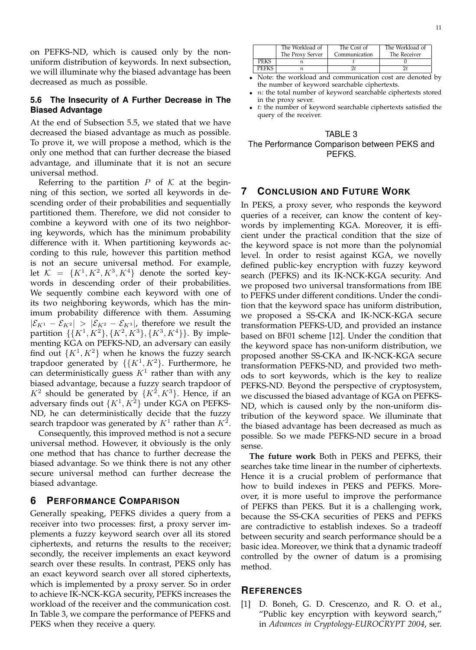on PEFKS-ND, which is caused only by the nonuniform distribution of keywords. In next subsection, we will illuminate why the biased advantage has been decreased as much as possible.

## **5.6 The Insecurity of A Further Decrease in The Biased Advantage**

At the end of Subsection 5.5, we stated that we have decreased the biased advantage as much as possible. To prove it, we will propose a method, which is the only one method that can further decrease the biased advantage, and illuminate that it is not an secure universal method.

Referring to the partition  $P$  of  $K$  at the beginning of this section, we sorted all keywords in descending order of their probabilities and sequentially partitioned them. Therefore, we did not consider to combine a keyword with one of its two neighboring keywords, which has the minimum probability difference with it. When partitioning keywords according to this rule, however this partition method is not an secure universal method. For example, let  $\mathcal{K} = \{K^1, K^2, K^3, K^4\}$  denote the sorted keywords in descending order of their probabilities. We sequently combine each keyword with one of its two neighboring keywords, which has the minimum probability difference with them. Assuming  $|\mathcal{E}_{K^1} - \mathcal{E}_{K^2}| > |\mathcal{E}_{K^2} - \mathcal{E}_{K^3}|$ , therefore we result the partition  $\{\{K^1, K^2\}, \{K^2, K^3\}, \{K^3, K^4\}\}\$ . By implementing KGA on PEFKS-ND, an adversary can easily find out  $\{K^1, K^2\}$  when he knows the fuzzy search trapdoor generated by  $\{K^1, K^2\}$ . Furthermore, he can deterministically guess  $K^1$  rather than with any biased advantage, because a fuzzy search trapdoor of  $K^2$  should be generated by  $\{K^2, K^3\}$ . Hence, if an adversary finds out  $\{K^1, K^2\}$  under KGA on PEFKS-ND, he can deterministically decide that the fuzzy search trapdoor was generated by  $K^1$  rather than  $K^2$ .

Consequently, this improved method is not a secure universal method. However, it obviously is the only one method that has chance to further decrease the biased advantage. So we think there is not any other secure universal method can further decrease the biased advantage.

### **6 PERFORMANCE COMPARISON**

Generally speaking, PEFKS divides a query from a receiver into two processes: first, a proxy server implements a fuzzy keyword search over all its stored ciphertexts, and returns the results to the receiver; secondly, the receiver implements an exact keyword search over these results. In contrast, PEKS only has an exact keyword search over all stored ciphertexts, which is implemented by a proxy server. So in order to achieve IK-NCK-KGA security, PEFKS increases the workload of the receiver and the communication cost. In Table 3, we compare the performance of PEFKS and PEKS when they receive a query.

|                             | The Workload of<br>The Proxy Server | The Cost of<br>Communication | The Workload of<br>The Receiver |  |  |  |
|-----------------------------|-------------------------------------|------------------------------|---------------------------------|--|--|--|
| PEKS                        |                                     |                              |                                 |  |  |  |
|                             |                                     |                              |                                 |  |  |  |
| Matar the committee three t |                                     |                              |                                 |  |  |  |

- Note: the workload and communication cost are denoted by the number of keyword searchable ciphertexts.
- $\bullet$  *n*: the total number of keyword searchable ciphertexts stored in the proxy sever.
- $\bullet$   $t$ : the number of keyword searchable ciphertexts satisfied the query of the receiver.



## **7 CONCLUSION AND FUTURE WORK**

In PEKS, a proxy sever, who responds the keyword queries of a receiver, can know the content of keywords by implementing KGA. Moreover, it is efficient under the practical condition that the size of the keyword space is not more than the polynomial level. In order to resist against KGA, we novelly defined public-key encryption with fuzzy keyword search (PEFKS) and its IK-NCK-KGA security. And we proposed two universal transformations from IBE to PEFKS under different conditions. Under the condition that the keyword space has uniform distribution, we proposed a SS-CKA and IK-NCK-KGA secure transformation PEFKS-UD, and provided an instance based on BF01 scheme [12]. Under the condition that the keyword space has non-uniform distribution, we proposed another SS-CKA and IK-NCK-KGA secure transformation PEFKS-ND, and provided two methods to sort keywords, which is the key to realize PEFKS-ND. Beyond the perspective of cryptosystem, we discussed the biased advantage of KGA on PEFKS-ND, which is caused only by the non-uniform distribution of the keyword space. We illuminate that the biased advantage has been decreased as much as possible. So we made PEFKS-ND secure in a broad sense.

**The future work** Both in PEKS and PEFKS, their searches take time linear in the number of ciphertexts. Hence it is a crucial problem of performance that how to build indexes in PEKS and PEFKS. Moreover, it is more useful to improve the performance of PEFKS than PEKS. But it is a challenging work, because the SS-CKA securities of PEKS and PEFKS are contradictive to establish indexes. So a tradeoff between security and search performance should be a basic idea. Moreover, we think that a dynamic tradeoff controlled by the owner of datum is a promising method.

## **REFERENCES**

[1] D. Boneh, G. D. Crescenzo, and R. O. et al., "Public key encyrption with keyword search," in *Advances in Cryptology-EUROCRYPT 2004*, ser.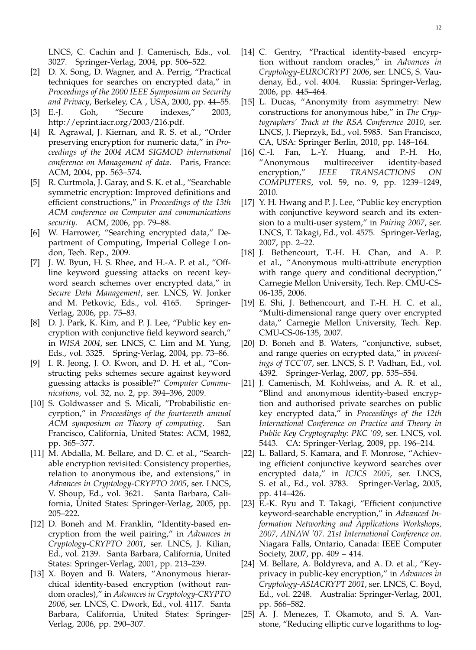LNCS, C. Cachin and J. Camenisch, Eds., vol. 3027. Springer-Verlag, 2004, pp. 506–522.

- [2] D. X. Song, D. Wagner, and A. Perrig, "Practical techniques for searches on encrypted data," in *Proceedings of the 2000 IEEE Symposium on Security and Privacy*, Berkeley, CA , USA, 2000, pp. 44–55.
- [3] E.-J. Goh, "Secure indexes," 2003, http://eprint.iacr.org/2003/216.pdf.
- [4] R. Agrawal, J. Kiernan, and R. S. et al., "Order preserving encryption for numeric data," in *Proceedings of the 2004 ACM SIGMOD international conference on Management of data*. Paris, France: ACM, 2004, pp. 563–574.
- [5] R. Curtmola, J. Garay, and S. K. et al., "Searchable symmetric encryption: Improved definitions and efficient constructions," in *Proceedings of the 13th ACM conference on Computer and communications security*. ACM, 2006, pp. 79–88.
- [6] W. Harrower, "Searching encrypted data," Department of Computing, Imperial College London, Tech. Rep., 2009.
- [7] J. W. Byun, H. S. Rhee, and H.-A. P. et al., "Offline keyword guessing attacks on recent keyword search schemes over encrypted data," in *Secure Data Management*, ser. LNCS, W. Jonker and M. Petkovic, Eds., vol. 4165. Springer-Verlag, 2006, pp. 75–83.
- [8] D. J. Park, K. Kim, and P. J. Lee, "Public key encryption with conjunctive field keyword search," in *WISA 2004*, ser. LNCS, C. Lim and M. Yung, Eds., vol. 3325. Spring-Verlag, 2004, pp. 73–86.
- [9] I. R. Jeong, J. O. Kwon, and D. H. et al., "Constructing peks schemes secure against keyword guessing attacks is possible?" *Computer Communications*, vol. 32, no. 2, pp. 394–396, 2009.
- [10] S. Goldwasser and S. Micali, "Probabilistic encyrption," in *Proceedings of the fourteenth annual ACM symposium on Theory of computing*. San Francisco, California, United States: ACM, 1982, pp. 365–377.
- [11] M. Abdalla, M. Bellare, and D. C. et al., "Searchable encryption revisited: Consistency properties, relation to anonymous ibe, and extensions," in *Advances in Cryptology-CRYPTO 2005*, ser. LNCS, V. Shoup, Ed., vol. 3621. Santa Barbara, California, United States: Springer-Verlag, 2005, pp. 205–222.
- [12] D. Boneh and M. Franklin, "Identity-based encryption from the weil pairing," in *Advances in Cryptology-CRYPTO 2001*, ser. LNCS, J. Kilian, Ed., vol. 2139. Santa Barbara, California, United States: Springer-Verlag, 2001, pp. 213–239.
- [13] X. Boyen and B. Waters, "Anonymous hierarchical identity-based encryption (without random oracles)," in *Advances in Cryptology-CRYPTO 2006*, ser. LNCS, C. Dwork, Ed., vol. 4117. Santa Barbara, California, United States: Springer-Verlag, 2006, pp. 290–307.
- [14] C. Gentry, "Practical identity-based encyrption without random oracles," in *Advances in Cryptology-EUROCRYPT 2006*, ser. LNCS, S. Vaudenay, Ed., vol. 4004. Russia: Springer-Verlag, 2006, pp. 445–464.
- [15] L. Ducas, "Anonymity from asymmetry: New constructions for anonymous hibe," in *The Cryptographers' Track at the RSA Conference 2010*, ser. LNCS, J. Pieprzyk, Ed., vol. 5985. San Francisco, CA, USA: Springer Berlin, 2010, pp. 148–164.
- [16] C.-I. Fan, L.-Y. Huang, and P.-H. Ho, "Anonymous multireceiver identity-based encryption," *IEEE TRANSACTIONS ON COMPUTERS*, vol. 59, no. 9, pp. 1239–1249, 2010.
- [17] Y. H. Hwang and P. J. Lee, "Public key encryption with conjunctive keyword search and its extension to a multi-user system," in *Pairing 2007*, ser. LNCS, T. Takagi, Ed., vol. 4575. Springer-Verlag, 2007, pp. 2–22.
- [18] J. Bethencourt, T.-H. H. Chan, and A. P. et al., "Anonymous multi-attribute encryption with range query and conditional decryption," Carnegie Mellon University, Tech. Rep. CMU-CS-06-135, 2006.
- [19] E. Shi, J. Bethencourt, and T.-H. H. C. et al., "Multi-dimensional range query over encrypted data," Carnegie Mellon University, Tech. Rep. CMU-CS-06-135, 2007.
- [20] D. Boneh and B. Waters, "conjunctive, subset, and range queries on ecrypted data," in *proceedings of TCC'07*, ser. LNCS, S. P. Vadhan, Ed., vol. 4392. Springer-Verlag, 2007, pp. 535–554.
- [21] J. Camenisch, M. Kohlweiss, and A. R. et al., "Blind and anonymous identity-based encryption and authorised private searches on public key encrypted data," in *Proceedings of the 12th International Conference on Practice and Theory in Public Key Cryptography: PKC '09*, ser. LNCS, vol. 5443. CA: Springer-Verlag, 2009, pp. 196–214.
- [22] L. Ballard, S. Kamara, and F. Monrose, "Achieving efficient conjunctive keyword searches over encrypted data," in *ICICS 2005*, ser. LNCS, S. et al., Ed., vol. 3783. Springer-Verlag, 2005, pp. 414–426.
- [23] E.-K. Ryu and T. Takagi, "Efficient conjunctive keyword-searchable encryption," in *Advanced Information Networking and Applications Workshops, 2007, AINAW '07. 21st International Conference on*. Niagara Falls, Ontario, Canada: IEEE Computer Society, 2007, pp. 409 – 414.
- [24] M. Bellare, A. Boldyreva, and A. D. et al., "Keyprivacy in public-key encryption," in *Advances in Cryptology-ASIACRYPT 2001*, ser. LNCS, C. Boyd, Ed., vol. 2248. Australia: Springer-Verlag, 2001, pp. 566–582.
- [25] A. J. Menezes, T. Okamoto, and S. A. Vanstone, "Reducing elliptic curve logarithms to log-